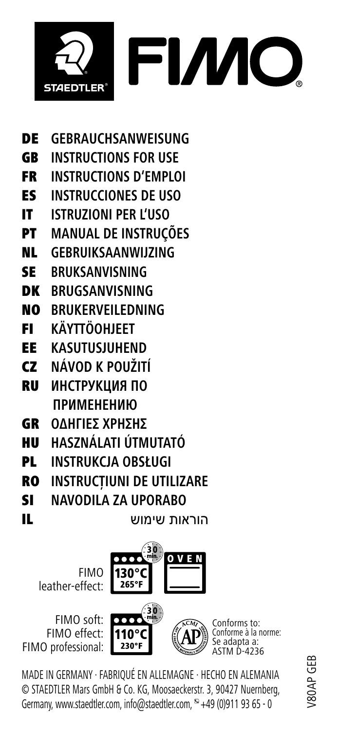

- DE **GEBRAUCHSANWEISUNG**
- GB **INSTRUCTIONS FOR USE**
- FR **INSTRUCTIONS D'EMPLOI**
- ES **INSTRUCCIONES DE USO**
- IT **ISTRUZIONI PER L'USO**
- PT **MANUAL DE INSTRUÇÕES**
- NL **GEBRUIKSAANWIJZING**
- SE **BRUKSANVISNING**
- DK **BRUGSANVISNING**
- NO **BRUKERVEILEDNING**
- FI **KÄYTTÖOHJEET**
- EE **KASUTUSJUHEND**
- CZ **NÁVOD K POUŽITÍ**
- RU **ИНСТРУКЦИЯ ПО ПРИМЕНЕНИЮ**
- GR **ΟΔΗΓΙΕΣ ΧΡΗΣΗΣ**
- HU **HASZNÁLATI ÚTMUTATÓ**
- PL **INSTRUKCJA OBSŁUGI**
- RO **INSTRUCŢIUNI DE UTILIZARE**
- SI **NAVODILA ZA UPORABO**
- 

הוראות שימוש IL

FIMO leather-effect:



FIMO soft: FIMO effect: FIMO professional:



Conforms to: Conforme à la norme: Se adapta a:  $D-4236$ 

MADE IN GERMANY · FABRIQUÉ EN ALLEMAGNE · HECHO EN ALEMANIA © STAEDTLER Mars GmbH & Co. KG, Moosaeckerstr. 3, 90427 Nuernberg, Germany, www.staedtler.com, info@staedtler.com,  $\degree$  +49 (0)911 93 65 - 0

V80AP GEB /80AP GEB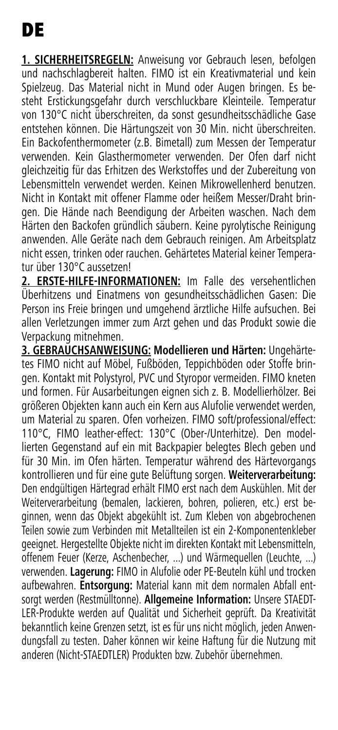**1. SICHERHEITSREGELN:** Anweisung vor Gebrauch lesen, befolgen und nachschlagbereit halten. FIMO ist ein Kreativmaterial und kein Spielzeug. Das Material nicht in Mund oder Augen bringen. Es besteht Erstickungsgefahr durch verschluckbare Kleinteile. Temperatur von 130°C nicht überschreiten, da sonst gesundheitsschädliche Gase entstehen können. Die Härtungszeit von 30 Min. nicht überschreiten. Ein Backofenthermometer (z.B. Bimetall) zum Messen der Temperatur verwenden. Kein Glasthermometer verwenden. Der Ofen darf nicht gleichzeitig für das Erhitzen des Werkstoffes und der Zubereitung von Lebensmitteln verwendet werden. Keinen Mikrowellenherd benutzen. Nicht in Kontakt mit offener Flamme oder heißem Messer/Draht bringen. Die Hände nach Beendigung der Arbeiten waschen. Nach dem Härten den Backofen gründlich säubern. Keine pyrolytische Reinigung anwenden. Alle Geräte nach dem Gebrauch reinigen. Am Arbeitsplatz nicht essen, trinken oder rauchen. Gehärtetes Material keiner Temperatur über 130°C aussetzen!

**2. ERSTE-HILFE-INFORMATIONEN:** Im Falle des versehentlichen Überhitzens und Einatmens von gesundheitsschädlichen Gasen: Die Person ins Freie bringen und umgehend ärztliche Hilfe aufsuchen. Bei allen Verletzungen immer zum Arzt gehen und das Produkt sowie die Verpackung mitnehmen.

**3. GEBRAUCHSANWEISUNG: Modellieren und Härten:** Ungehärtetes FIMO nicht auf Möbel, Fußböden, Teppichböden oder Stoffe bringen. Kontakt mit Polystyrol, PVC und Styropor vermeiden. FIMO kneten und formen. Für Ausarbeitungen eignen sich z. B. Modellierhölzer. Bei größeren Objekten kann auch ein Kern aus Alufolie verwendet werden, um Material zu sparen. Ofen vorheizen. FIMO soft/professional/effect: 110°C, FIMO leather-effect: 130°C (Ober-/Unterhitze). Den modellierten Gegenstand auf ein mit Backpapier belegtes Blech geben und für 30 Min. im Ofen härten. Temperatur während des Härtevorgangs kontrollieren und für eine gute Belüftung sorgen. **Weiterverarbeitung:**  Den endgültigen Härtegrad erhält FIMO erst nach dem Auskühlen. Mit der Weiterverarbeitung (bemalen, lackieren, bohren, polieren, etc.) erst beginnen, wenn das Objekt abgekühlt ist. Zum Kleben von abgebrochenen Teilen sowie zum Verbinden mit Metallteilen ist ein 2-Komponentenkleber geeignet. Hergestellte Objekte nicht im direkten Kontakt mit Lebensmitteln, offenem Feuer (Kerze, Aschenbecher, ...) und Wärmequellen (Leuchte, ...) verwenden. **Lagerung:** FIMO in Alufolie oder PE-Beuteln kühl und trocken aufbewahren. **Entsorgung:** Material kann mit dem normalen Abfall entsorgt werden (Restmülltonne). **Allgemeine Information:** Unsere STAEDT-LER-Produkte werden auf Qualität und Sicherheit geprüft. Da Kreativität bekanntlich keine Grenzen setzt, ist es für uns nicht möglich, jeden Anwendungsfall zu testen. Daher können wir keine Haftung für die Nutzung mit anderen (Nicht-STAEDTLER) Produkten bzw. Zubehör übernehmen.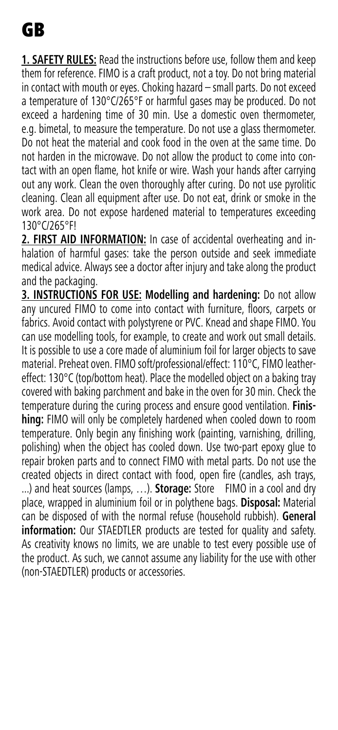**1. SAFETY RULES:** Read the instructions before use, follow them and keep them for reference. FIMO is a craft product, not a toy. Do not bring material in contact with mouth or eyes. Choking hazard – small parts. Do not exceed a temperature of 130°C/265°F or harmful gases may be produced. Do not exceed a hardening time of 30 min. Use a domestic oven thermometer, e.g. bimetal, to measure the temperature. Do not use a glass thermometer. Do not heat the material and cook food in the oven at the same time. Do not harden in the microwave. Do not allow the product to come into contact with an open flame, hot knife or wire. Wash your hands after carrying out any work. Clean the oven thoroughly after curing. Do not use pyrolitic cleaning. Clean all equipment after use. Do not eat, drink or smoke in the work area. Do not expose hardened material to temperatures exceeding 130°C/265°F!

2. FIRST AID INFORMATION: In case of accidental overheating and inhalation of harmful gases: take the person outside and seek immediate medical advice. Always see a doctor after injury and take along the product and the packaging.

**3. INSTRUCTIONS FOR USE: Modelling and hardening:** Do not allow any uncured FIMO to come into contact with furniture, floors, carpets or fabrics. Avoid contact with polystyrene or PVC. Knead and shape FIMO. You can use modelling tools, for example, to create and work out small details. It is possible to use a core made of aluminium foil for larger objects to save material. Preheat oven. FIMO soft/professional/effect: 110°C, FIMO leathereffect: 130°C (top/bottom heat). Place the modelled object on a baking tray covered with baking parchment and bake in the oven for 30 min. Check the temperature during the curing process and ensure good ventilation. **Finishing:** FIMO will only be completely hardened when cooled down to room temperature. Only begin any finishing work (painting, varnishing, drilling, polishing) when the object has cooled down. Use two-part epoxy glue to repair broken parts and to connect FIMO with metal parts. Do not use the created objects in direct contact with food, open fire (candles, ash trays, ...) and heat sources (lamps, …). **Storage:** Store FIMO in a cool and dry place, wrapped in aluminium foil or in polythene bags. **Disposal:** Material can be disposed of with the normal refuse (household rubbish). **General information:** Our STAEDTLER products are tested for quality and safety. As creativity knows no limits, we are unable to test every possible use of the product. As such, we cannot assume any liability for the use with other (non-STAEDTLER) products or accessories.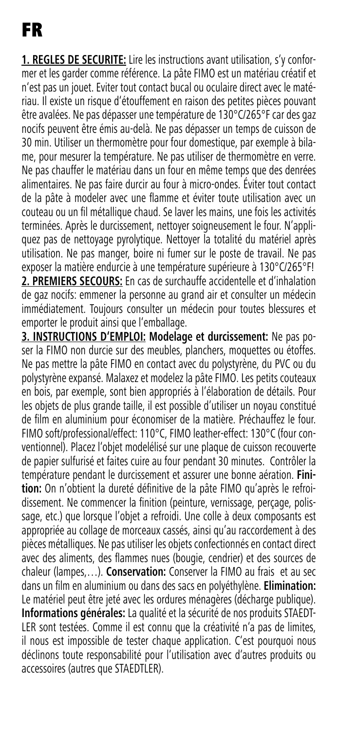**1. REGLES DE SECURITE:** Lire les instructions avant utilisation, s'y conformer et les garder comme référence. La pâte FIMO est un matériau créatif et n'est pas un jouet. Eviter tout contact bucal ou oculaire direct avec le matériau. Il existe un risque d'étouffement en raison des petites pièces pouvant être avalées. Ne pas dépasser une température de 130°C/265°F car des gaz nocifs peuvent être émis au-delà. Ne pas dépasser un temps de cuisson de 30 min. Utiliser un thermomètre pour four domestique, par exemple à bilame, pour mesurer la température. Ne pas utiliser de thermomètre en verre. Ne pas chauffer le matériau dans un four en même temps que des denrées alimentaires. Ne pas faire durcir au four à micro-ondes. Éviter tout contact de la pâte à modeler avec une flamme et éviter toute utilisation avec un couteau ou un fil métallique chaud. Se laver les mains, une fois les activités terminées. Après le durcissement, nettoyer soigneusement le four. N'appliquez pas de nettoyage pyrolytique. Nettoyer la totalité du matériel après utilisation. Ne pas manger, boire ni fumer sur le poste de travail. Ne pas exposer la matière endurcie à une température supérieure à 130°C/265°F! **2. PREMIERS SECOURS:** En cas de surchauffe accidentelle et d'inhalation de gaz nocifs: emmener la personne au grand air et consulter un médecin immédiatement. Toujours consulter un médecin pour toutes blessures et emporter le produit ainsi que l'emballage.

**3. INSTRUCTIONS D'EMPLOI: Modelage et durcissement:** Ne pas poser la FIMO non durcie sur des meubles, planchers, moquettes ou étoffes. Ne pas mettre la pâte FIMO en contact avec du polystyrène, du PVC ou du polystyrène expansé. Malaxez et modelez la pâte FIMO. Les petits couteaux en bois, par exemple, sont bien appropriés à l'élaboration de détails. Pour les objets de plus grande taille, il est possible d'utiliser un noyau constitué de film en aluminium pour économiser de la matière. Préchauffez le four. FIMO soft/professional/effect: 110°C, FIMO leather-effect: 130°C (four conventionnel). Placez l'objet modelélisé sur une plaque de cuisson recouverte de papier sulfurisé et faites cuire au four pendant 30 minutes. Contrôler la température pendant le durcissement et assurer une bonne aération. **Finition:** On n'obtient la dureté définitive de la pâte FIMO qu'après le refroidissement. Ne commencer la finition (peinture, vernissage, perçage, polissage, etc.) que lorsque l'objet a refroidi. Une colle à deux composants est appropriée au collage de morceaux cassés, ainsi qu'au raccordement à des pièces métalliques. Ne pas utiliser les objets confectionnés en contact direct avec des aliments, des flammes nues (bougie, cendrier) et des sources de chaleur (lampes,…). **Conservation:** Conserver la FIMO au frais et au sec dans un film en aluminium ou dans des sacs en polyéthylène. **Elimination:** Le matériel peut être jeté avec les ordures ménagères (décharge publique). **Informations générales:** La qualité et la sécurité de nos produits STAEDT-LER sont testées. Comme il est connu que la créativité n'a pas de limites, il nous est impossible de tester chaque application. C'est pourquoi nous déclinons toute responsabilité pour l'utilisation avec d'autres produits ou accessoires (autres que STAEDTLER).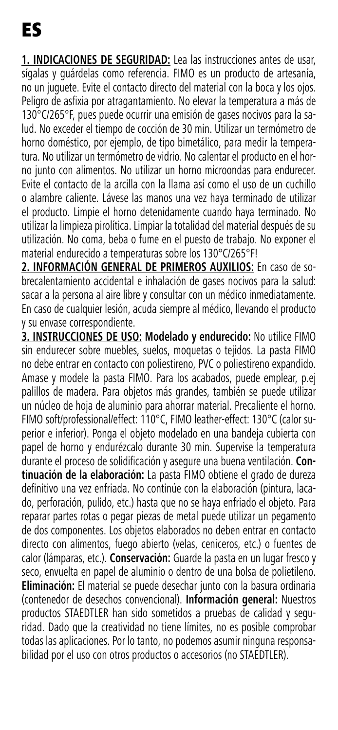**1. INDICACIONES DE SEGURIDAD:** Lea las instrucciones antes de usar, sígalas y guárdelas como referencia. FIMO es un producto de artesanía, no un juguete. Evite el contacto directo del material con la boca y los ojos. Peligro de asfixia por atragantamiento. No elevar la temperatura a más de 130°C/265°F, pues puede ocurrir una emisión de gases nocivos para la salud. No exceder el tiempo de cocción de 30 min. Utilizar un termómetro de horno doméstico, por ejemplo, de tipo bimetálico, para medir la temperatura. No utilizar un termómetro de vidrio. No calentar el producto en el horno junto con alimentos. No utilizar un horno microondas para endurecer. Evite el contacto de la arcilla con la llama así como el uso de un cuchillo o alambre caliente. Lávese las manos una vez haya terminado de utilizar el producto. Limpie el horno detenidamente cuando haya terminado. No utilizar la limpieza pirolítica. Limpiar la totalidad del material después de su utilización. No coma, beba o fume en el puesto de trabajo. No exponer el material endurecido a temperaturas sobre los 130°C/265°F!

**2. INFORMACIÓN GENERAL DE PRIMEROS AUXILIOS:** En caso de sobrecalentamiento accidental e inhalación de gases nocivos para la salud: sacar a la persona al aire libre y consultar con un médico inmediatamente. En caso de cualquier lesión, acuda siempre al médico, llevando el producto y su envase correspondiente.

**3. INSTRUCCIONES DE USO: Modelado y endurecido:** No utilice FIMO sin endurecer sobre muebles, suelos, moquetas o tejidos. La pasta FIMO no debe entrar en contacto con poliestireno, PVC o poliestireno expandido. Amase y modele la pasta FIMO. Para los acabados, puede emplear, p.ej palillos de madera. Para objetos más grandes, también se puede utilizar un núcleo de hoja de aluminio para ahorrar material. Precaliente el horno. FIMO soft/professional/effect: 110°C, FIMO leather-effect: 130°C (calor superior e inferior). Ponga el objeto modelado en una bandeja cubierta con papel de horno y endurézcalo durante 30 min. Supervise la temperatura durante el proceso de solidificación y asegure una buena ventilación. **Continuación de la elaboración:** La pasta FIMO obtiene el grado de dureza definitivo una vez enfriada. No continúe con la elaboración (pintura, lacado, perforación, pulido, etc.) hasta que no se haya enfriado el objeto. Para reparar partes rotas o pegar piezas de metal puede utilizar un pegamento de dos componentes. Los objetos elaborados no deben entrar en contacto directo con alimentos, fuego abierto (velas, ceniceros, etc.) o fuentes de calor (lámparas, etc.). **Conservación:** Guarde la pasta en un lugar fresco y seco, envuelta en papel de aluminio o dentro de una bolsa de polietileno. **Eliminación:** El material se puede desechar junto con la basura ordinaria (contenedor de desechos convencional). **Información general:** Nuestros productos STAEDTLER han sido sometidos a pruebas de calidad y seguridad. Dado que la creatividad no tiene límites, no es posible comprobar todas las aplicaciones. Por lo tanto, no podemos asumir ninguna responsabilidad por el uso con otros productos o accesorios (no STAEDTLER).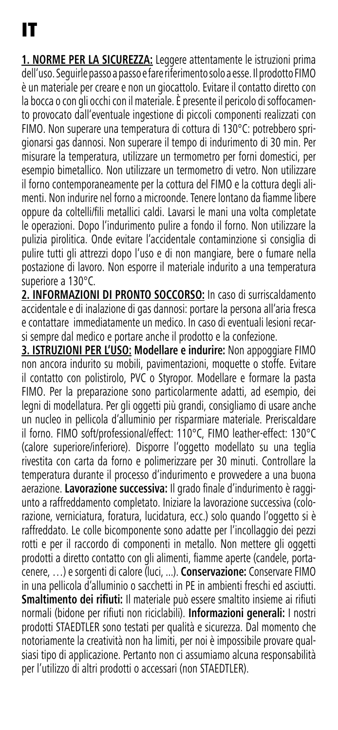**1. NORME PER LA SICUREZZA:** Leggere attentamente le istruzioni prima dell'uso. Seguirle passo a passo e fare riferimento solo a esse. Il prodotto FIMO è un materiale per creare e non un giocattolo. Evitare il contatto diretto con la bocca o con gli occhi con il materiale. È presente il pericolo di soffocamento provocato dall'eventuale ingestione di piccoli componenti realizzati con FIMO. Non superare una temperatura di cottura di 130°C: potrebbero sprigionarsi gas dannosi. Non superare il tempo di indurimento di 30 min. Per misurare la temperatura, utilizzare un termometro per forni domestici, per esempio bimetallico. Non utilizzare un termometro di vetro. Non utilizzare il forno contemporaneamente per la cottura del FIMO e la cottura degli alimenti. Non indurire nel forno a microonde. Tenere lontano da fiamme libere oppure da coltelli/fili metallici caldi. Lavarsi le mani una volta completate le operazioni. Dopo l'indurimento pulire a fondo il forno. Non utilizzare la pulizia pirolitica. Onde evitare l'accidentale contaminzione si consiglia di pulire tutti gli attrezzi dopo l'uso e di non mangiare, bere o fumare nella postazione di lavoro. Non esporre il materiale indurito a una temperatura superiore a 130°C.

**2. INFORMAZIONI DI PRONTO SOCCORSO:** In caso di surriscaldamento accidentale e di inalazione di gas dannosi: portare la persona all'aria fresca e contattare immediatamente un medico. In caso di eventuali lesioni recarsi sempre dal medico e portare anche il prodotto e la confezione.

**3. ISTRUZIONI PER L'USO: Modellare e indurire:** Non appoggiare FIMO non ancora indurito su mobili, pavimentazioni, moquette o stoffe. Evitare il contatto con polistirolo, PVC o Styropor. Modellare e formare la pasta FIMO. Per la preparazione sono particolarmente adatti, ad esempio, dei legni di modellatura. Per gli oggetti più grandi, consigliamo di usare anche un nucleo in pellicola d'alluminio per risparmiare materiale. Preriscaldare il forno. FIMO soft/professional/effect: 110°C, FIMO leather-effect: 130°C (calore superiore/inferiore). Disporre l'oggetto modellato su una teglia rivestita con carta da forno e polimerizzare per 30 minuti. Controllare la temperatura durante il processo d'indurimento e provvedere a una buona aerazione. **Lavorazione successiva:** Il grado finale d'indurimento è raggiunto a raffreddamento completato. Iniziare la lavorazione successiva (colorazione, verniciatura, foratura, lucidatura, ecc.) solo quando l'oggetto si è raffreddato. Le colle bicomponente sono adatte per l'incollaggio dei pezzi rotti e per il raccordo di componenti in metallo. Non mettere gli oggetti prodotti a diretto contatto con gli alimenti, fiamme aperte (candele, portacenere, …) e sorgenti di calore (luci, ...). **Conservazione:** Conservare FIMO in una pellicola d'alluminio o sacchetti in PE in ambienti freschi ed asciutti. **Smaltimento dei rifiuti:** Il materiale può essere smaltito insieme ai rifiuti normali (bidone per rifiuti non riciclabili). **Informazioni generali:** I nostri prodotti STAEDTLER sono testati per qualità e sicurezza. Dal momento che notoriamente la creatività non ha limiti, per noi è impossibile provare qualsiasi tipo di applicazione. Pertanto non ci assumiamo alcuna responsabilità per l'utilizzo di altri prodotti o accessari (non STAEDTLER).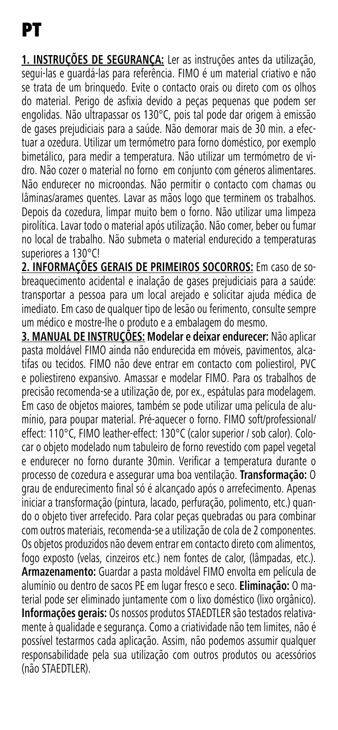**1. INSTRUÇÕES DE SEGURANÇA:** Ler as instruções antes da utilização, segui-las e guardá-las para referência. FIMO é um material criativo e não se trata de um brinquedo. Evite o contacto orais ou direto com os olhos do material. Perigo de asfixia devido a peças pequenas que podem ser engolidas. Não ultrapassar os 130°C, pois tal pode dar origem à emissão de gases prejudiciais para a saúde. Não demorar mais de 30 min. a efectuar a ozedura. Utilizar um termómetro para forno doméstico, por exemplo bimetálico, para medir a temperatura. Não utilizar um termómetro de vidro. Não cozer o material no forno em conjunto com géneros alimentares. Não endurecer no microondas. Não permitir o contacto com chamas ou lâminas/arames quentes. Lavar as mãos logo que terminem os trabalhos. Depois da cozedura, limpar muito bem o forno. Não utilizar uma limpeza pirolítica. Lavar todo o material após utilização. Não comer, beber ou fumar no local de trabalho. Não submeta o material endurecido a temperaturas superiores a 130°C!

**2. INFORMAÇÕES GERAIS DE PRIMEIROS SOCORROS:** Em caso de sobreaquecimento acidental e inalação de gases prejudiciais para a saúde: transportar a pessoa para um local arejado e solicitar ajuda médica de imediato. Em caso de qualquer tipo de lesão ou ferimento, consulte sempre um médico e mostre-lhe o produto e a embalagem do mesmo.

**3. MANUAL DE INSTRUÇÕES: Modelar e deixar endurecer:** Não aplicar pasta moldável FIMO ainda não endurecida em móveis, pavimentos, alcatifas ou tecidos. FIMO não deve entrar em contacto com poliestirol, PVC e poliestireno expansivo. Amassar e modelar FIMO. Para os trabalhos de precisão recomenda-se a utilização de, por ex., espátulas para modelagem. Em caso de objetos maiores, também se pode utilizar uma película de alumínio, para poupar material. Pré-aquecer o forno. FIMO soft/professional/ effect: 110°C, FIMO leather-effect: 130°C (calor superior / sob calor). Colocar o objeto modelado num tabuleiro de forno revestido com papel vegetal e endurecer no forno durante 30min. Verificar a temperatura durante o processo de cozedura e assegurar uma boa ventilação. **Transformação:** O grau de endurecimento final só é alcançado após o arrefecimento. Apenas iniciar a transformação (pintura, lacado, perfuração, polimento, etc.) quando o objeto tiver arrefecido. Para colar peças quebradas ou para combinar com outros materiais, recomenda-se a utilização de cola de 2 componentes. Os objetos produzidos não devem entrar em contacto direto com alimentos, fogo exposto (velas, cinzeiros etc.) nem fontes de calor, (lâmpadas, etc.). **Armazenamento:** Guardar a pasta moldável FIMO envolta em película de alumínio ou dentro de sacos PE em lugar fresco e seco. **Eliminação:** O material pode ser eliminado juntamente com o lixo doméstico (lixo orgânico). **Informações gerais:** Os nossos produtos STAEDTLER são testados relativamente à qualidade e segurança. Como a criatividade não tem limites, não é possível testarmos cada aplicação. Assim, não podemos assumir qualquer responsabilidade pela sua utilização com outros produtos ou acessórios (não STAEDTLER).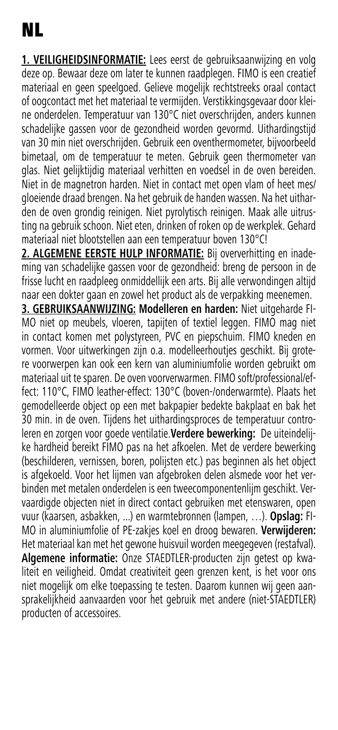**1. VEILIGHEIDSINFORMATIE:** Lees eerst de gebruiksaanwijzing en volg deze op. Bewaar deze om later te kunnen raadplegen. FIMO is een creatief materiaal en geen speelgoed. Gelieve mogelijk rechtstreeks oraal contact of oogcontact met het materiaal te vermijden. Verstikkingsgevaar door kleine onderdelen. Temperatuur van 130°C niet overschrijden, anders kunnen schadelijke gassen voor de gezondheid worden gevormd. Uithardingstijd van 30 min niet overschrijden. Gebruik een oventhermometer, bijvoorbeeld bimetaal, om de temperatuur te meten. Gebruik geen thermometer van glas. Niet gelijktijdig materiaal verhitten en voedsel in de oven bereiden. Niet in de magnetron harden. Niet in contact met open vlam of heet mes/ gloeiende draad brengen. Na het gebruik de handen wassen. Na het uitharden de oven grondig reinigen. Niet pyrolytisch reinigen. Maak alle uitrusting na gebruik schoon. Niet eten, drinken of roken op de werkplek. Gehard materiaal niet blootstellen aan een temperatuur boven 130°C!

**2. ALGEMENE EERSTE HULP INFORMATIE:** Bij oververhitting en inademing van schadelijke gassen voor de gezondheid: breng de persoon in de frisse lucht en raadpleeg onmiddellijk een arts. Bij alle verwondingen altijd naar een dokter gaan en zowel het product als de verpakking meenemen.

**3. GEBRUIKSAANWIJZING: Modelleren en harden:** Niet uitgeharde FI-MO niet op meubels, vloeren, tapijten of textiel leggen. FIMO mag niet in contact komen met polystyreen, PVC en piepschuim. FIMO kneden en vormen. Voor uitwerkingen zijn o.a. modelleerhoutjes geschikt. Bij grotere voorwerpen kan ook een kern van aluminiumfolie worden gebruikt om materiaal uit te sparen. De oven voorverwarmen. FIMO soft/professional/effect: 110°C, FIMO leather-effect: 130°C (boven-/onderwarmte). Plaats het gemodelleerde object op een met bakpapier bedekte bakplaat en bak het 30 min. in de oven. Tijdens het uithardingsproces de temperatuur controleren en zorgen voor goede ventilatie.**Verdere bewerking:** De uiteindelijke hardheid bereikt FIMO pas na het afkoelen. Met de verdere bewerking (beschilderen, vernissen, boren, polijsten etc.) pas beginnen als het object is afgekoeld. Voor het lijmen van afgebroken delen alsmede voor het verbinden met metalen onderdelen is een tweecomponentenlijm geschikt. Vervaardigde objecten niet in direct contact gebruiken met etenswaren, open vuur (kaarsen, asbakken, ...) en warmtebronnen (lampen, …). **Opslag:** FI-MO in aluminiumfolie of PE-zakjes koel en droog bewaren. **Verwijderen:**  Het materiaal kan met het gewone huisvuil worden meegegeven (restafval). **Algemene informatie:** Onze STAEDTLER-producten zijn getest op kwaliteit en veiligheid. Omdat creativiteit geen grenzen kent, is het voor ons niet mogelijk om elke toepassing te testen. Daarom kunnen wij geen aansprakelijkheid aanvaarden voor het gebruik met andere (niet-STAEDTLER) producten of accessoires.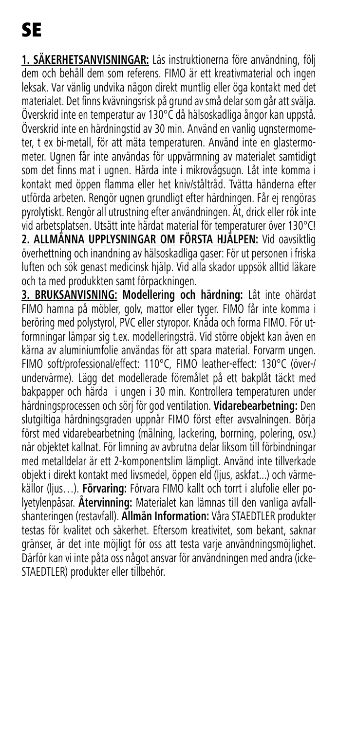**1. SÄKERHETSANVISNINGAR:** Läs instruktionerna före användning, följ dem och behåll dem som referens. FIMO är ett kreativmaterial och ingen leksak. Var vänlig undvika någon direkt muntlig eller öga kontakt med det materialet. Det finns kvävningsrisk på grund av små delar som går att svälja. Överskrid inte en temperatur av 130°C då hälsoskadliga ångor kan uppstå. Överskrid inte en härdningstid av 30 min. Använd en vanlig ugnstermometer, t ex bi-metall, för att mäta temperaturen. Använd inte en glastermometer. Ugnen får inte användas för uppvärmning av materialet samtidigt som det finns mat i ugnen. Härda inte i mikrovågsugn. Låt inte komma i kontakt med öppen flamma eller het kniv/ståltråd. Tvätta händerna efter utförda arbeten. Rengör ugnen grundligt efter härdningen. Får ej rengöras pyrolytiskt. Rengör all utrustning efter användningen. Ät, drick eller rök inte vid arbetsplatsen. Utsätt inte härdat material för temperaturer över 130°C! **2. ALLMÄNNA UPPLYSNINGAR OM FÖRSTA HJÄLPEN:** Vid oavsiktlig överhettning och inandning av hälsoskadliga gaser: För ut personen i friska luften och sök genast medicinsk hjälp. Vid alla skador uppsök alltid läkare och ta med produkkten samt förpackningen.

**3. BRUKSANVISNING: Modellering och härdning:** Låt inte ohärdat FIMO hamna på möbler, golv, mattor eller tyger. FIMO får inte komma i beröring med polystyrol, PVC eller styropor. Knåda och forma FIMO. För utformningar lämpar sig t.ex. modelleringsträ. Vid större objekt kan även en kärna av aluminiumfolie användas för att spara material. Forvarm ungen. FIMO soft/professional/effect: 110°C, FIMO leather-effect: 130°C (över-/ undervärme). Lägg det modellerade föremålet på ett bakplåt täckt med bakpapper och härda i ungen i 30 min. Kontrollera temperaturen under härdningsprocessen och sörj för god ventilation. **Vidarebearbetning:** Den slutgiltiga härdningsgraden uppnår FIMO först efter avsvalningen. Börja först med vidarebearbetning (målning, lackering, borrning, polering, osv.) när objektet kallnat. För limning av avbrutna delar liksom till förbindningar med metalldelar är ett 2-komponentslim lämpligt. Använd inte tillverkade objekt i direkt kontakt med livsmedel, öppen eld (ljus, askfat...) och värmekällor (ljus…). **Förvaring:** Förvara FIMO kallt och torrt i alufolie eller polyetylenpåsar. **Återvinning:** Materialet kan lämnas till den vanliga avfallshanteringen (restavfall). **Allmän Information:** Våra STAEDTLER produkter testas för kvalitet och säkerhet. Eftersom kreativitet, som bekant, saknar gränser, är det inte möjligt för oss att testa varje användningsmöjlighet. Därför kan vi inte påta oss något ansvar för användningen med andra (icke-STAEDTLER) produkter eller tillbehör.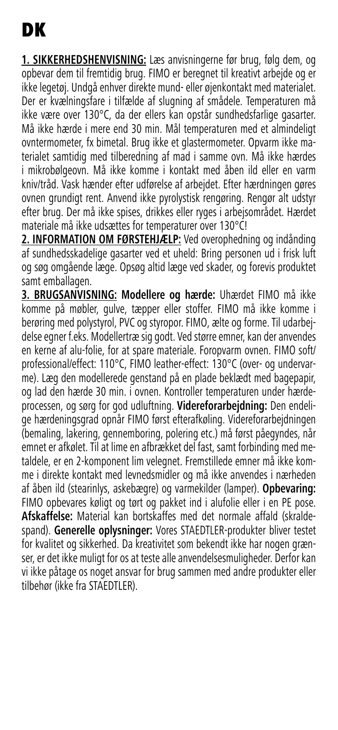**1. SIKKERHEDSHENVISNING:** Læs anvisningerne før brug, følg dem, og opbevar dem til fremtidig brug. FIMO er beregnet til kreativt arbejde og er ikke legetøj. Undgå enhver direkte mund- eller øjenkontakt med materialet. Der er kvælningsfare i tilfælde af slugning af smådele. Temperaturen må ikke være over 130°C, da der ellers kan opstår sundhedsfarlige gasarter. Må ikke hærde i mere end 30 min. Mål temperaturen med et almindeligt ovntermometer, fx bimetal. Brug ikke et glastermometer. Opvarm ikke materialet samtidig med tilberedning af mad i samme ovn. Må ikke hærdes i mikrobølgeovn. Må ikke komme i kontakt med åben ild eller en varm kniv/tråd. Vask hænder efter udførelse af arbejdet. Efter hærdningen gøres ovnen grundigt rent. Anvend ikke pyrolystisk rengøring. Rengør alt udstyr efter brug. Der må ikke spises, drikkes eller ryges i arbejsområdet. Hærdet materiale må ikke udsættes for temperaturer over 130°C!

**2. INFORMATION OM FØRSTEHJÆLP:** Ved overophedning og indånding af sundhedsskadelige gasarter ved et uheld: Bring personen ud i frisk luft og søg omgående læge. Opsøg altid læge ved skader, og forevis produktet samt emballagen.

**3. BRUGSANVISNING: Modellere og hærde:** Uhærdet FIMO må ikke komme på møbler, gulve, tæpper eller stoffer. FIMO må ikke komme i berøring med polystyrol, PVC og styropor. FIMO, ælte og forme. Til udarbejdelse egner f.eks. Modellertræ sig godt. Ved større emner, kan der anvendes en kerne af alu-folie, for at spare materiale. Foropvarm ovnen. FIMO soft/ professional/effect: 110°C, FIMO leather-effect: 130°C (over- og undervarme). Læg den modellerede genstand på en plade beklædt med bagepapir, og lad den hærde 30 min. i ovnen. Kontroller temperaturen under hærdeprocessen, og sørg for god udluftning. **Videreforarbejdning:** Den endelige hærdeningsgrad opnår FIMO først efterafkøling. Videreforarbejdningen (bemaling, lakering, gennemboring, polering etc.) må først påegyndes, når emnet er afkølet. Til at lime en afbrækket del fast, samt forbinding med metaldele, er en 2-komponent lim velegnet. Fremstillede emner må ikke komme i direkte kontakt med levnedsmidler og må ikke anvendes i nærheden af åben ild (stearinlys, askebægre) og varmekilder (lamper). **Opbevaring:** FIMO opbevares køligt og tørt og pakket ind i alufolie eller i en PE pose. **Afskaffelse:** Material kan bortskaffes med det normale affald (skraldespand). **Generelle oplysninger:** Vores STAEDTLER-produkter bliver testet for kvalitet og sikkerhed. Da kreativitet som bekendt ikke har nogen grænser, er det ikke muligt for os at teste alle anvendelsesmuligheder. Derfor kan vi ikke påtage os noget ansvar for brug sammen med andre produkter eller tilbehør (ikke fra STAEDTLER).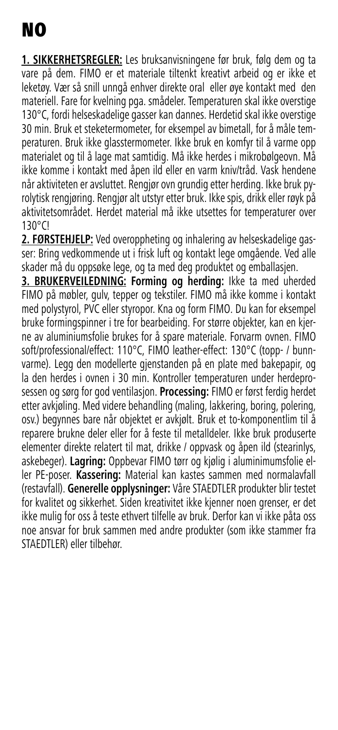**1. SIKKERHETSREGLER:** Les bruksanvisningene før bruk, følg dem og ta vare på dem. FIMO er et materiale tiltenkt kreativt arbeid og er ikke et leketøy. Vær så snill unngå enhver direkte oral eller øye kontakt med den materiell. Fare for kvelning pga. smådeler. Temperaturen skal ikke overstige 130°C, fordi helseskadelige gasser kan dannes. Herdetid skal ikke overstige 30 min. Bruk et steketermometer, for eksempel av bimetall, for å måle temperaturen. Bruk ikke glasstermometer. Ikke bruk en komfyr til å varme opp materialet og til å lage mat samtidig. Må ikke herdes i mikrobølgeovn. Må ikke komme i kontakt med åpen ild eller en varm kniv/tråd. Vask hendene når aktiviteten er avsluttet. Rengjør ovn grundig etter herding. Ikke bruk pyrolytisk rengjøring. Rengjør alt utstyr etter bruk. Ikke spis, drikk eller røyk på aktivitetsområdet. Herdet material må ikke utsettes for temperaturer over 130°C!

**2. FØRSTEHJELP:** Ved overoppheting og inhalering av helseskadelige gasser: Bring vedkommende ut i frisk luft og kontakt lege omgående. Ved alle skader må du oppsøke lege, og ta med deg produktet og emballasjen.

**3. BRUKERVEILEDNING: Forming og herding:** Ikke ta med uherded FIMO på møbler, gulv, tepper og tekstiler. FIMO må ikke komme i kontakt med polystyrol, PVC eller styropor. Kna og form FIMO. Du kan for eksempel bruke formingspinner i tre for bearbeiding. For større objekter, kan en kjerne av aluminiumsfolie brukes for å spare materiale. Forvarm ovnen. FIMO soft/professional/effect: 110°C, FIMO leather-effect: 130°C (topp- / bunnvarme). Legg den modellerte gjenstanden på en plate med bakepapir, og la den herdes i ovnen i 30 min. Kontroller temperaturen under herdeprosessen og sørg for god ventilasjon. **Processing:** FIMO er først ferdig herdet etter avkjøling. Med videre behandling (maling, lakkering, boring, polering, osv.) begynnes bare når objektet er avkjølt. Bruk et to-komponentlim til å reparere brukne deler eller for å feste til metalldeler. Ikke bruk produserte elementer direkte relatert til mat, drikke / oppvask og åpen ild (stearinlys, askebeger). **Lagring:** Oppbevar FIMO tørr og kjølig i aluminimumsfolie eller PE-poser. **Kassering:** Material kan kastes sammen med normalavfall (restavfall). **Generelle opplysninger:** Våre STAEDTLER produkter blir testet for kvalitet og sikkerhet. Siden kreativitet ikke kjenner noen grenser, er det ikke mulig for oss å teste ethvert tilfelle av bruk. Derfor kan vi ikke påta oss noe ansvar for bruk sammen med andre produkter (som ikke stammer fra STAEDTLER) eller tilbehør.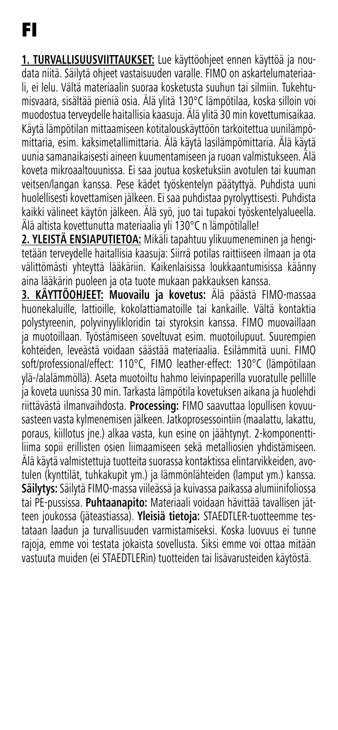**1. TURVALLISUUSVIITTAUKSET:** Lue käyttöohjeet ennen käyttöä ja noudata niitä. Säilytä ohjeet vastaisuuden varalle. FIMO on askartelumateriaali, ei lelu. Vältä materiaalin suoraa kosketusta suuhun tai silmiin. Tukehtumisvaara, sisältää pieniä osia. Älä ylitä 130°C lämpötilaa, koska silloin voi muodostua terveydelle haitallisia kaasuja. Älä ylitä 30 min kovettumisaikaa. Käytä lämpötilan mittaamiseen kotitalouskäyttöön tarkoitettua uunilämpömittaria, esim. kaksimetallimittaria. Älä käytä lasilämpömittaria. Älä käytä uunia samanaikaisesti aineen kuumentamiseen ja ruoan valmistukseen. Älä koveta mikroaaltouunissa. Ei saa joutua kosketuksiin avotulen tai kuuman veitsen/langan kanssa. Pese kädet työskentelyn päätyttyä. Puhdista uuni huolellisesti kovettamisen jälkeen. Ei saa puhdistaa pyrolyyttisesti. Puhdista kaikki välineet käytön jälkeen. Älä syö, juo tai tupakoi työskentelyalueella. Älä altista kovettunutta materiaalia yli 130°C n lämpötilalle!

**2. YLEISTÄ ENSIAPUTIETOA:** Mikäli tapahtuu ylikuumeneminen ja hengitetään terveydelle haitallisia kaasuja: Siirrä potilas raittiiseen ilmaan ja ota välittömästi yhteyttä lääkäriin. Kaikenlaisissa loukkaantumisissa käänny aina lääkärin puoleen ja ota tuote mukaan pakkauksen kanssa.

**3. KÄYTTÖOHJEET: Muovailu ja kovetus:** Älä päästä FIMO-massaa huonekaluille, lattioille, kokolattiamatoille tai kankaille. Vältä kontaktia polystyreenin, polyvinyylikloridin tai styroksin kanssa. FIMO muovaillaan ja muotoillaan. Työstämiseen soveltuvat esim. muotoilupuut. Suurempien kohteiden, leveästä voidaan säästää materiaalia. Esilämmitä uuni. FIMO soft/professional/effect: 110°C, FIMO leather-effect: 130°C (lämpötilaan ylä-/alalämmöllä). Aseta muotoiltu hahmo leivinpaperilla vuoratulle pellille ja koveta uunissa 30 min. Tarkasta lämpötila kovetuksen aikana ja huolehdi riittävästä ilmanvaihdosta. **Processing:** FIMO saavuttaa lopullisen kovuusasteen vasta kylmenemisen jälkeen. Jatkoprosessointiin (maalattu, lakattu, poraus, kiillotus jne.) alkaa vasta, kun esine on jäähtynyt. 2-komponenttiliima sopii erillisten osien liimaamiseen sekä metalliosien yhdistämiseen. Älä käytä valmistettuja tuotteita suorassa kontaktissa elintarvikkeiden, avotulen (kynttilät, tuhkakupit ym.) ja lämmönlähteiden (lamput ym.) kanssa. **Säilytys:** Säilytä FIMO-massa viileässä ja kuivassa paikassa alumiinifoliossa tai PE-pussissa. **Puhtaanapito:** Materiaali voidaan hävittää tavallisen jätteen joukossa (jäteastiassa). **Yleisiä tietoja:** STAEDTLER-tuotteemme testataan laadun ja turvallisuuden varmistamiseksi. Koska luovuus ei tunne rajoja, emme voi testata jokaista sovellusta. Siksi emme voi ottaa mitään vastuuta muiden (ei STAEDTLERin) tuotteiden tai lisävarusteiden käytöstä.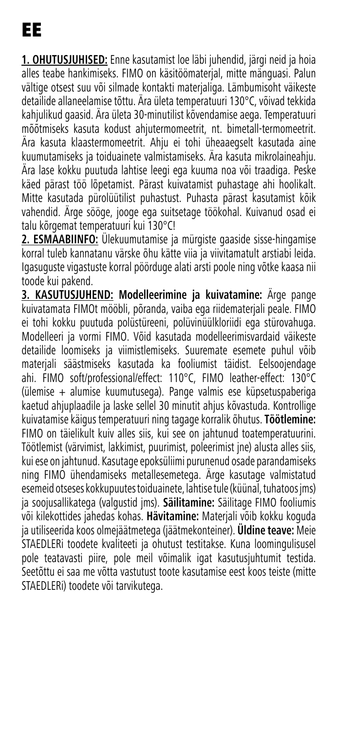**1. OHUTUSJUHISED:** Enne kasutamist loe läbi juhendid, järgi neid ja hoia alles teabe hankimiseks. FIMO on käsitöömaterjal, mitte mänguasi. Palun vältige otsest suu või silmade kontakti materjaliga. Lämbumisoht väikeste detailide allaneelamise tõttu. Ära ületa temperatuuri 130°C, võivad tekkida kahjulikud gaasid. Ära ületa 30-minutilist kõvendamise aega. Temperatuuri mõõtmiseks kasuta kodust ahjutermomeetrit, nt. bimetall-termomeetrit. Ära kasuta klaastermomeetrit. Ahju ei tohi üheaaegselt kasutada aine kuumutamiseks ja toiduainete valmistamiseks. Ära kasuta mikrolaineahju. Ära lase kokku puutuda lahtise leegi ega kuuma noa või traadiga. Peske käed pärast töö lõpetamist. Pärast kuivatamist puhastage ahi hoolikalt. Mitte kasutada pürolüütilist puhastust. Puhasta pärast kasutamist kõik vahendid. Ärge sööge, jooge ega suitsetage töökohal. Kuivanud osad ei talu kõrgemat temperatuuri kui 130°C!

**2. ESMAABIINFO:** Ülekuumutamise ja mürgiste gaaside sisse-hingamise korral tuleb kannatanu värske õhu kätte viia ja viivitamatult arstiabi leida. Igasuguste vigastuste korral pöörduge alati arsti poole ning võtke kaasa nii toode kui pakend.

**3. KASUTUSJUHEND: Modelleerimine ja kuivatamine:** Ärge pange kuivatamata FIMOt mööbli, põranda, vaiba ega riidematerjali peale. FIMO ei tohi kokku puutuda polüstüreeni, polüvinüülkloriidi ega stürovahuga. Modelleeri ja vormi FIMO. Võid kasutada modelleerimisvardaid väikeste detailide loomiseks ja viimistlemiseks. Suuremate esemete puhul võib materjali säästmiseks kasutada ka fooliumist täidist. Eelsoojendage ahi. FIMO soft/professional/effect: 110°C, FIMO leather-effect: 130°C (ülemise + alumise kuumutusega). Pange valmis ese küpsetuspaberiga kaetud ahjuplaadile ja laske sellel 30 minutit ahjus kõvastuda. Kontrollige kuivatamise käigus temperatuuri ning tagage korralik õhutus. **Töötlemine:** FIMO on täielikult kuiv alles siis, kui see on jahtunud toatemperatuurini. Töötlemist (värvimist, lakkimist, puurimist, poleerimist jne) alusta alles siis, kui ese on jahtunud. Kasutage epoksüliimi purunenud osade parandamiseks ning FIMO ühendamiseks metallesemetega. Ärge kasutage valmistatud esemeid otseses kokkupuutes toiduainete, lahtise tule (küünal, tuhatoos jms) ja soojusallikatega (valgustid jms). **Säilitamine:** Säilitage FIMO fooliumis või kilekottides jahedas kohas. **Hävitamine:** Materjali võib kokku koguda ja utiliseerida koos olmejäätmetega (jäätmekonteiner). **Üldine teave:** Meie STAEDLERi toodete kvaliteeti ja ohutust testitakse. Kuna loomingulisusel pole teatavasti piire, pole meil võimalik igat kasutusjuhtumit testida. Seetõttu ei saa me võtta vastutust toote kasutamise eest koos teiste (mitte STAEDLERi) toodete või tarvikutega.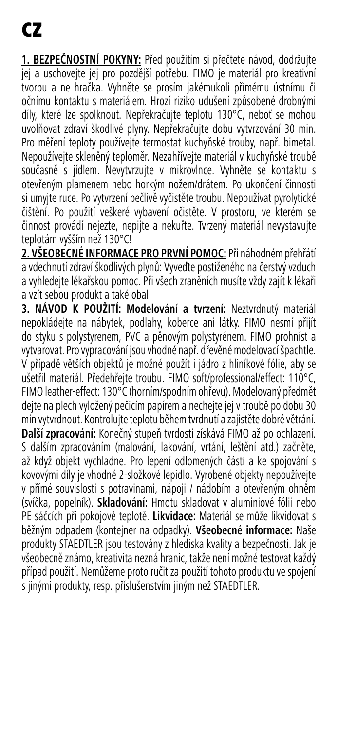**1. BEZPEČNOSTNÍ POKYNY:** Před použitím si přečtete návod, dodržujte jej a uschovejte jej pro pozdější potřebu. FIMO je materiál pro kreativní tvorbu a ne hračka. Vyhněte se prosím jakémukoli přímému ústnímu či očnímu kontaktu s materiálem. Hrozí riziko udušení způsobené drobnými díly, které lze spolknout. Nepřekračujte teplotu 130°C, neboť se mohou uvolňovat zdraví škodlivé plyny. Nepřekračujte dobu vytvrzování 30 min. Pro měření teploty používejte termostat kuchyňské trouby, např. bimetal. Nepoužívejte skleněný teploměr. Nezahřívejte materiál v kuchyňské troubě současně s jídlem. Nevytvrzujte v mikrovlnce. Vyhněte se kontaktu s otevřeným plamenem nebo horkým nožem/drátem. Po ukončení činnosti si umyjte ruce. Po vytvrzení pečlivě vyčistěte troubu. Nepoužívat pyrolytické čištění. Po použití veškeré vybavení očistěte. V prostoru, ve kterém se činnost provádí nejezte, nepijte a nekuřte. Tvrzený materiál nevystavujte teplotám vyšším než 130°C!

**2. VŠEOBECNÉ INFORMACE PRO PRVNÍ POMOC:** Při náhodném přehřátí a vdechnutí zdraví škodlivých plynů: Vyveďte postiženého na čerstvý vzduch a vyhledejte lékařskou pomoc. Při všech zraněních musíte vždy zajít k lékaři a vzít sebou produkt a také obal.

**3. NÁVOD K POUŽITÍ: Modelování a tvrzení:** Neztvrdnutý materiál nepokládejte na nábytek, podlahy, koberce ani látky. FIMO nesmí přijít do styku s polystyrenem, PVC a pěnovým polystyrénem. FIMO prohníst a vytvarovat. Pro vypracování jsou vhodné např. dřevěné modelovací špachtle. V případě větších objektů je možné použít i jádro z hliníkové fólie, aby se ušetřil materiál. Předehřejte troubu. FIMO soft/professional/effect: 110°C, FIMO leather-effect: 130°C (horním/spodním ohřevu). Modelovaný předmět dejte na plech vyložený pečicím papírem a nechejte jej v troubě po dobu 30 min vytvrdnout. Kontrolujte teplotu během tvrdnutí a zajistěte dobré větrání. **Další zpracování:** Konečný stupeň tvrdosti získává FIMO až po ochlazení. S dalším zpracováním (malování, lakování, vrtání, leštění atd.) začněte, až když objekt vychladne. Pro lepení odlomených částí a ke spojování s kovovými díly je vhodné 2-složkové lepidlo. Vyrobené objekty nepoužívejte v přímé souvislosti s potravinami, nápoji / nádobím a otevřeným ohněm (svíčka, popelník). **Skladování:** Hmotu skladovat v aluminiové fólii nebo PE sáčcích při pokojové teplotě. **Likvidace:** Materiál se může likvidovat s běžným odpadem (kontejner na odpadky). **Všeobecné informace:** Naše produkty STAEDTLER jsou testovány z hlediska kvality a bezpečnosti. Jak je všeobecně známo, kreativita nezná hranic, takže není možné testovat každý případ použití. Nemůžeme proto ručit za použití tohoto produktu ve spojení s jinými produkty, resp. příslušenstvím jiným než STAEDTLER.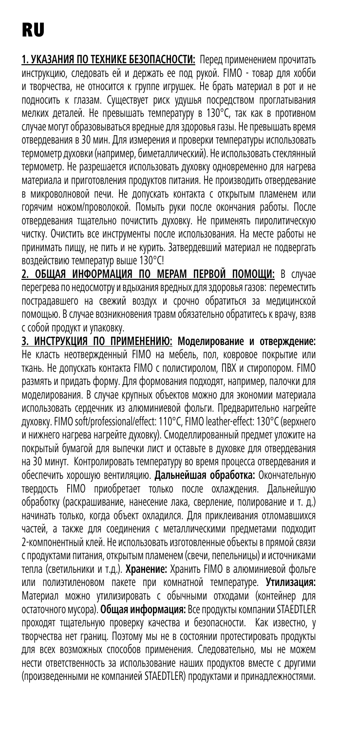**1. УКАЗАНИЯ ПО ТЕХНИКЕ БЕЗОПАСНОСТИ:** Перед применением прочитать инструкцию, следовать ей и держать ее под рукой. FIMO - товар для хобби и творчества, не относится к группе игрушек. Не брать материал в рот и не подносить к глазам. Существует риск удушья посредством проглатывания мелких деталей. Не превышать температуру в 130°C, так как в противном случае могут образовываться вредные для здоровья газы. Не превышать время отвердевания в 30 мин. Для измерения и проверки температуры использовать термометр духовки (например, биметаллический). Не использовать стеклянный термометр. Не разрешается использовать духовку одновременно для нагрева материала и приготовления продуктов питания. Не производить отвердевание в микроволновой печи. Не допускать контакта с открытым пламенем или горячим ножом/проволокой. Помыть руки после окончания работы. После отвердевания тщательно почистить духовку. Не применять пиролитическую чистку. Очистить все инструменты после использования. На месте работы не принимать пищу, не пить и не курить. Затвердевший материал не подвергать воздействию температур выше 130°C!

**2. ОБЩАЯ ИНФОРМАЦИЯ ПО МЕРАМ ПЕРВОЙ ПОМОЩИ:** В случае перегрева по недосмотру и вдыхания вредных для здоровья газов: переместить пострадавшего на свежий воздух и срочно обратиться за медицинской помощью. В случае возникновения травм обязательно обратитесь к врачу, взяв с собой продукт и упаковку.

**3. ИНСТРУКЦИЯ ПО ПРИМЕНЕНИЮ: Моделирование и отверждение:**  Не класть неотвержденный FIMO на мебель, пол, ковровое покрытие или ткань. Не допускать контакта FIMO с полистиролом, ПВХ и стиропором. FIMO размять и придать форму. Для формования подходят, например, палочки для моделирования. В случае крупных объектов можно для экономии материала использовать сердечник из алюминиевой фольги. Предварительно нагрейте духовку. FIMO soft/professional/effect: 110°C, FIMO leather-effect: 130°C (верхнего и нижнего нагрева нагрейте духовку). Смоделлированный предмет уложите на покрытый бумагой для выпечки лист и оставьте в духовке для отвердевания на 30 минут. Контролировать температуру во время процесса отвердевания и обеспечить хорошую вентиляцию. **Дальнейшая обработка:** Окончательную твердость FIMO приобретает только после охлаждения. Дальнейшую обработку (раскрашивание, нанесение лака, сверление, полирование и т. д.) начинать только, когда объект охладился. Для приклеивания отломавшихся частей, а также для соединения с металлическими предметами подходит 2-компонентный клей. Не использовать изготовленные объекты в прямой связи с продуктами питания, открытым пламенем (свечи, пепельницы) и источниками тепла (светильники и т.д.). **Хранение:** Хранить FIMO в алюминиевой фольге или полиэтиленовом пакете при комнатной температуре. **Утилизация:** Материал можно утилизировать с обычными отходами (контейнер для остаточного мусора). **Общая информация:** Все продукты компании STAEDTLER проходят тщательную проверку качества и безопасности. Как известно, у творчества нет границ. Поэтому мы не в состоянии протестировать продукты для всех возможных способов применения. Следовательно, мы не можем нести ответственность за использование наших продуктов вместе с другими (произведенными не компанией STAEDTLER) продуктами и принадлежностями.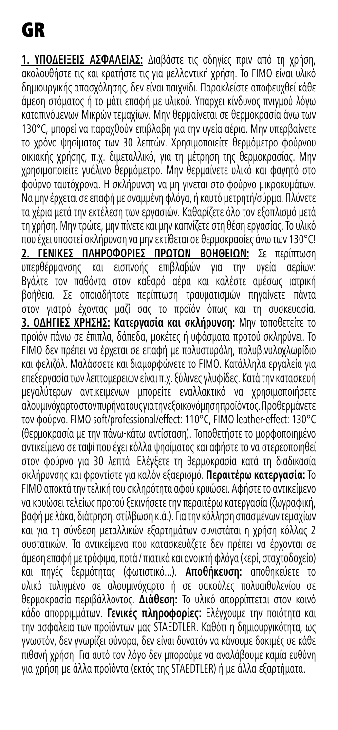**1. ΥΠΟΔΕΙΞΕΙΣ ΑΣΦΑΛΕΙΑΣ:** Διαβάστε τις οδηγίες πριν από τη χρήση, ακολουθήστε τις και κρατήστε τις για μελλοντική χρήση. Το FIMO είναι υλικό δημιουργικής απασχόλησης, δεν είναι παιχνίδι. Παρακλείστε αποφευχθεί κάθε άμεση στόματος ή το μάτι επαφή με υλικού. Υπάρχει κίνδυνος πνιγμού λόγω καταπινόμενων Μικρών τεμαχίων. Μην θερµαίνεται σε θερµοκρασία άνω των 130°C, µπορεί να παραχθούν επιβλαβή για την υγεία αέρια. Μην υπερβαίνετε το χρόνο ψησίματος των 30 λεπτών. Χρησιμοποιείτε θερμόμετρο φούρνου οικιακής χρήσης, π.χ. διμεταλλικό, για τη μέτρηση της θερμοκρασίας. Μην χρησιμοποιείτε γυάλινο θερμόμετρο. Μην θερμαίνετε υλικό και φαγητό στο φούρνο ταυτόχρονα. Η σκλήρυνση να μη γίνεται στο φούρνο µικροκυµάτων. Να μην έρχεται σε επαφή με αναμμένη φλόγα, ή καυτό μετρητή/σύρμα. Πλύνετε τα χέρια μετά την εκτέλεση των εργασιών. Καθαρίζετε όλο τον εξοπλισμό μετά τη χρήση. Μην τρώτε, μην πίνετε και μην καπνίζετε στη θέση εργασίας. Το υλικό που έχει υποστεί σκλήρυνση να μην εκτίθεται σε θερμοκρασίες άνω των 130°C! **2. ΓΕΝΙΚΕΣ ΠΛΗΡΟΦΟΡΙΕΣ ΠΡΩΤΩΝ ΒΟΗΘΕΙΩΝ:** Σε περίπτωση υπερθέρµανσης και εισπνοής επιβλαβών για την υγεία αερίων: Βγάλτε τον παθόντα στον καθαρό αέρα και καλέστε αµέσως ιατρική βοήθεια. Σε οποιαδήποτε περίπτωση τραυματισμών πηγαίνετε πάντα στον γιατρό έχοντας μαζί σας το προϊόν όπως και τη συσκευασία. **3. ΟΔΗΓΙΕΣ ΧΡΗΣΗΣ: Κατεργασία και σκλήρυνση:** Μην τοποθετείτε το προϊόν πάνω σε έπιπλα, δάπεδα, μοκέτες ή υφάσματα προτού σκληρύνει. Το FIMO δεν πρέπει να έρχεται σε επαφή με πολυστυρόλη, πολυβινυλοχλωρίδιο και φελιζόλ. Μαλάσσετε και διαμορφώνετε το FIMO. Κατάλληλα εργαλεία για επεξεργασία των λεπτομερειών είναι π.χ. ξύλινες γλυφίδες. Κατά την κατασκευή μεγαλύτερων αντικειμένων μπορείτε εναλλακτικά να χρησιμοποιήσετε αλουμινόχαρτο στον πυρήνα τους για την εξοικονόμηση προϊόντος. Προθερμάνετε τον φούρνο. FIMO soft/professional/effect: 110°C, FIMO leather-effect: 130°C (θερμοκρασία με την πάνω-κάτω αντίσταση). Τοποθετήστε το μορφοποιημένο αντικείμενο σε ταψί που έχει κόλλα ψησίματος και αφήστε το να στερεοποιηθεί στον φούρνο για 30 λεπτά. Ελέγξετε τη θερμοκρασία κατά τη διαδικασία σκλήρυνσης και φροντίστε για καλόν εξαερισμό. **Περαιτέρω κατεργασία:** Το FIMO αποκτά την τελική του σκληρότητα αφού κρυώσει. Αφήστε το αντικείμενο να κρυώσει τελείως προτού ξεκινήσετε την περαιτέρω κατεργασία (ζωγραφική, βαφή με λάκα, διάτρηση, στίλβωση κ.ά.). Για την κόλληση σπασμένων τεμαχίων και για τη σύνδεση μεταλλικών εξαρτημάτων συνιστάται η χρήση κόλλας 2 συστατικών. Τα αντικείμενα που κατασκευάζετε δεν πρέπει να έρχονται σε άμεση επαφή με τρόφιμα, ποτά / πιατικά και ανοικτή φλόγα (κερί, σταχτοδοχείο) και πηγές θερμότητας (φωτιστικό...). **Αποθήκευση:** αποθηκεύετε το υλικό τυλιγμένο σε αλουμινόχαρτο ή σε σακούλες πολυαιθυλενίου σε θερμοκρασία περιβάλλοντος. **Διάθεση:** Το υλικό απορρίπτεται στον κοινό κάδο απορριμμάτων. **Γενικές πληροφορίες:** Ελέγχουμε την ποιότητα και την ασφάλεια των προϊόντων μας STAEDTLER. Καθότι η δημιουργικότητα, ως γνωστόν, δεν γνωρίζει σύνορα, δεν είναι δυνατόν να κάνουμε δοκιμές σε κάθε πιθανή χρήση. Για αυτό τον λόγο δεν μπορούμε να αναλάβουμε καμία ευθύνη για χρήση με άλλα προϊόντα (εκτός της STAEDTLER) ή με άλλα εξαρτήματα.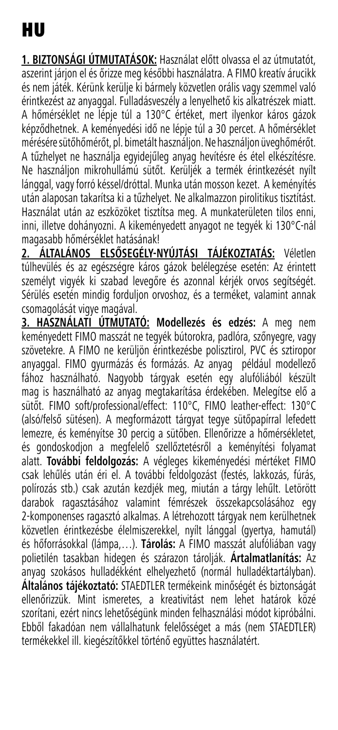**1. BIZTONSÁGI ÚTMUTATÁSOK:** Használat előtt olvassa el az útmutatót, aszerint járjon el és őrizze meg későbbi használatra. A FIMO kreatív árucikk és nem játék. Kérünk kerülje ki bármely közvetlen orális vagy szemmel való érintkezést az anyaggal. Fulladásveszély a lenyelhető kis alkatrészek miatt. A hőmérséklet ne lépje túl a 130°C értéket, mert ilyenkor káros gázok képződhetnek. A keményedési idő ne lépje túl a 30 percet. A hőmérséklet mérésére sütőhőmérőt, pl. bimetált használjon. Ne használjon üveghőmérőt. A tűzhelyet ne használja egyidejűleg anyag hevítésre és étel elkészítésre. Ne használjon mikrohullámú sütőt. Kerüljék a termék érintkezését nyílt lánggal, vagy forró késsel/dróttal. Munka után mosson kezet. A keményítés után alaposan takarítsa ki a tűzhelyet. Ne alkalmazzon pirolitikus tisztítást. Használat után az eszközöket tisztítsa meg. A munkaterületen tilos enni, inni, illetve dohányozni. A kikeményedett anyagot ne tegyék ki 130°C-nál magasabb hőmérséklet hatásának!

**2. ÁLTALÁNOS ELSŐSEGÉLY-NYÚJTÁSI TÁJÉKOZTATÁS:** Véletlen túlhevülés és az egészségre káros gázok belélegzése esetén: Az érintett személyt vigyék ki szabad levegőre és azonnal kérjék orvos segítségét. Sérülés esetén mindig forduljon orvoshoz, és a terméket, valamint annak csomagolását vigye magával.

**3. HASZNÁLATI ÚTMUTATÓ: Modellezés és edzés:** A meg nem keményedett FIMO masszát ne tegyék bútorokra, padlóra, szőnyegre, vagy szövetekre. A FIMO ne kerüljön érintkezésbe polisztirol, PVC és sztiropor anyaggal. FIMO gyurmázás és formázás. Az anyag például modellező fához használható. Nagyobb tárgyak esetén egy alufóliából készült mag is használható az anyag megtakarítása érdekében. Melegítse elő a sütőt. FIMO soft/professional/effect: 110°C, FIMO leather-effect: 130°C (alsó/felső sütésen). A megformázott tárgyat tegye sütőpapírral lefedett lemezre, és keményítse 30 percig a sütőben. Ellenőrizze a hőmérsékletet, és gondoskodjon a megfelelő szellőztetésről a keményítési folyamat alatt. **További feldolgozás:** A végleges kikeményedési mértéket FIMO csak lehűlés után éri el. A további feldolgozást (festés, lakkozás, fúrás, polírozás stb.) csak azután kezdjék meg, miután a tárgy lehűlt. Letörött darabok ragasztásához valamint fémrészek összekapcsolásához egy 2-komponenses ragasztó alkalmas. A létrehozott tárgyak nem kerülhetnek közvetlen érintkezésbe élelmiszerekkel, nyílt lánggal (gyertya, hamutál) és hőforrásokkal (lámpa,…). **Tárolás:** A FIMO masszát alufóliában vagy polietilén tasakban hidegen és szárazon tárolják. **Ártalmatlanítás:** Az anyag szokásos hulladékként elhelyezhető (normál hulladéktartályban). **Általános tájékoztató:** STAEDTLER termékeink minőségét és biztonságát ellenőrizzük. Mint ismeretes, a kreativitást nem lehet határok közé szorítani, ezért nincs lehetőségünk minden felhasználási módot kipróbálni. Ebből fakadóan nem vállalhatunk felelősséget a más (nem STAEDTLER) termékekkel ill. kiegészítőkkel történő együttes használatért.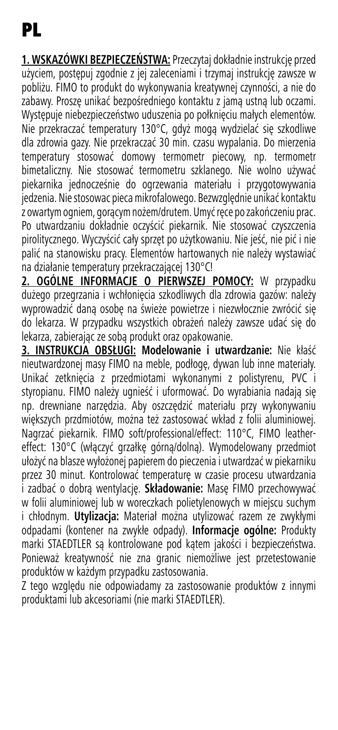**1. WSKAZÓWKI BEZPIECZEŃSTWA:** Przeczytaj dokładnie instrukcję przed użyciem, postępuj zgodnie z jej zaleceniami i trzymaj instrukcję zawsze w pobliżu. FIMO to produkt do wykonywania kreatywnej czynności, a nie do zabawy. Proszę unikać bezpośredniego kontaktu z jamą ustną lub oczami. Występuje niebezpieczeństwo uduszenia po połknięciu małych elementów. Nie przekraczać temperatury 130°C, gdyż mogą wydzielać się szkodliwe dla zdrowia gazy. Nie przekraczać 30 min. czasu wypalania. Do mierzenia temperatury stosować domowy termometr piecowy, np. termometr bimetaliczny. Nie stosować termometru szklanego. Nie wolno używać piekarnika jednocześnie do ogrzewania materiału i przygotowywania jedzenia. Nie stosowac pieca mikrofalowego. Bezwzględnie unikać kontaktu z owartym ogniem, gorącym nożem/drutem. Umyć ręce po zakończeniu prac. Po utwardzaniu dokładnie oczyścić piekarnik. Nie stosować czyszczenia pirolitycznego. Wyczyścić cały sprzęt po użytkowaniu. Nie jeść, nie pić i nie palić na stanowisku pracy. Elementów hartowanych nie należy wystawiać na działanie temperatury przekraczającej 130°C!

**2. OGÓLNE INFORMACJE O PIERWSZEJ POMOCY:** W przypadku dużego przegrzania i wchłonięcia szkodliwych dla zdrowia gazów: należy wyprowadzić daną osobę na świeże powietrze i niezwłocznie zwrócić się do lekarza. W przypadku wszystkich obrażeń należy zawsze udać się do lekarza, zabierając ze sobą produkt oraz opakowanie.

**3. INSTRUKCJA OBSŁUGI: Modelowanie i utwardzanie:** Nie kłaść nieutwardzonej masy FIMO na meble, podłogę, dywan lub inne materiały. Unikać zetknięcia z przedmiotami wykonanymi z polistyrenu, PVC i styropianu. FIMO należy ugnieść i uformować. Do wyrabiania nadają się np. drewniane narzędzia. Aby oszczędzić materiału przy wykonywaniu większych przdmiotów, można też zastosować wkład z folii aluminiowej. Nagrzać piekarnik. FIMO soft/professional/effect: 110°C, FIMO leathereffect: 130°C (włączyć grzałkę górną/dolną). Wymodelowany przedmiot ułożyć na blasze wyłożonej papierem do pieczenia i utwardzać w piekarniku przez 30 minut. Kontrolować temperaturę w czasie procesu utwardzania i zadbać o dobrą wentylację. **Składowanie:** Masę FIMO przechowywać w folii aluminiowej lub w woreczkach polietylenowych w miejscu suchym i chłodnym. **Utylizacja:** Materiał można utylizować razem ze zwykłymi odpadami (kontener na zwykłe odpady). **Informacje ogólne:** Produkty marki STAEDTLER są kontrolowane pod kątem jakości i bezpieczeństwa. Ponieważ kreatywność nie zna granic niemożliwe jest przetestowanie produktów w każdym przypadku zastosowania.

Z tego względu nie odpowiadamy za zastosowanie produktów z innymi produktami lub akcesoriami (nie marki STAEDTLER).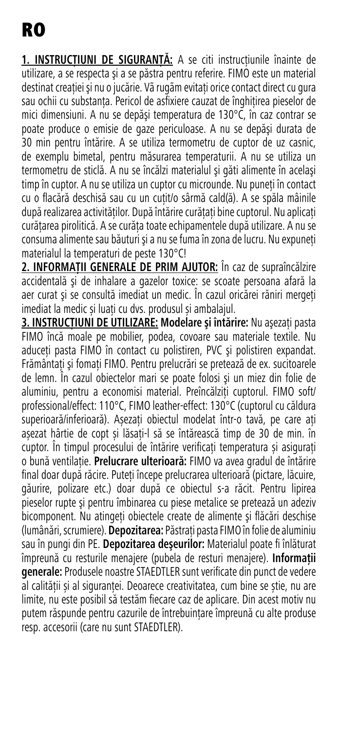1. INSTRUCTIUNI DE SIGURANTĂ: A se citi instructiunile înainte de utilizare, a se respecta şi a se păstra pentru referire. FIMO este un material destinat creației și nu o jucărie. Vã rugãm evitați orice contact direct cu gura sau ochii cu substanta. Pericol de asfixiere cauzat de înghitirea pieselor de mici dimensiuni. A nu se depăşi temperatura de 130°C, în caz contrar se poate produce o emisie de gaze periculoase. A nu se depăşi durata de 30 min pentru întărire. A se utiliza termometru de cuptor de uz casnic, de exemplu bimetal, pentru măsurarea temperaturii. A nu se utiliza un termometru de sticlă. A nu se încălzi materialul şi găti alimente în acelaşi timp în cuptor. A nu se utiliza un cuptor cu microunde. Nu puneti în contact cu o flacără deschisă sau cu un cutit/o sârmă cald(ă). A se spăla mâinile după realizarea activităților. După întărire curătați bine cuptorul. Nu aplicați curătarea pirolitică. A se curăta toate echipamentele după utilizare. A nu se consuma alimente sau băuturi și a nu se fuma în zona de lucru. Nu expuneti materialul la temperaturi de peste 130°C!

**2. INFORMAŢII GENERALE DE PRIM AJUTOR:** În caz de supraîncălzire accidentală şi de inhalare a gazelor toxice: se scoate persoana afară la aer curat şi se consultă imediat un medic. În cazul oricărei răniri mergeți imediat la medic și luați cu dvs. produsul și ambalajul.

**3. INSTRUCTIUNI DE UTILIZARE: Modelare și întărire: Nu asezați pasta** FIMO încă moale pe mobilier, podea, covoare sau materiale textile. Nu aduceti pasta FIMO în contact cu polistiren, PVC și polistiren expandat. Frământați și fomați FIMO. Pentru prelucrări se pretează de ex. sucitoarele de lemn. În cazul obiectelor mari se poate folosi şi un miez din folie de aluminiu, pentru a economisi material. Preîncălziți cuptorul. FIMO soft/ professional/effect: 110°C, FIMO leather-effect: 130°C (cuptorul cu căldura superioară/inferioară). Așezați obiectul modelat într-o tavă, pe care ați așezat hârtie de copt și lăsați-l să se întărească timp de 30 de min. în cuptor. În timpul procesului de întărire verificați temperatura și asigurați o bună ventilație. **Prelucrare ulterioară:** FIMO va avea gradul de întărire final doar după răcire. Puteţi începe prelucrarea ulterioară (pictare, lăcuire, găurire, polizare etc.) doar după ce obiectul s-a răcit. Pentru lipirea pieselor rupte şi pentru îmbinarea cu piese metalice se pretează un adeziv bicomponent. Nu atingeți obiectele create de alimente și flăcări deschise (lumânări, scrumiere). **Depozitarea:** Păstraţi pasta FIMO în folie de aluminiu sau în pungi din PE. **Depozitarea deşeurilor:** Materialul poate fi înlăturat împreună cu resturile menajere (pubela de resturi menajere). **Informații generale:** Produsele noastre STAEDTLER sunt verificate din punct de vedere al calității și al siguranței. Deoarece creativitatea, cum bine se știe, nu are limite, nu este posibil să testăm fiecare caz de aplicare. Din acest motiv nu putem răspunde pentru cazurile de întrebuințare împreună cu alte produse resp. accesorii (care nu sunt STAEDTLER).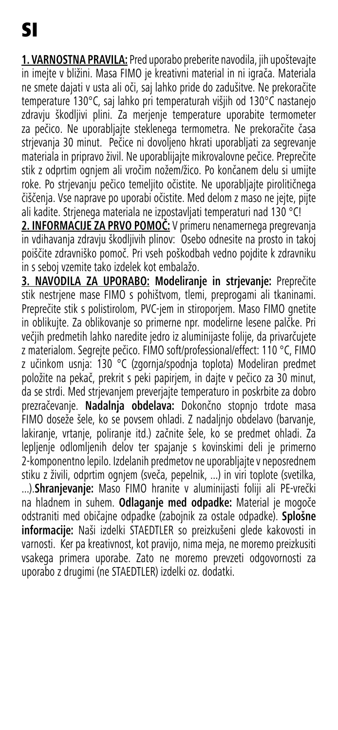**1. VARNOSTNA PRAVILA:** Pred uporabo preberite navodila, jih upoštevajte in imejte v bližini. Masa FIMO je kreativni material in ni igrača. Materiala ne smete dajati v usta ali oči, saj lahko pride do zadušitve. Ne prekoračite temperature 130°C, saj lahko pri temperaturah višjih od 130°C nastanejo zdravju škodljivi plini. Za merjenje temperature uporabite termometer za pečico. Ne uporabljajte steklenega termometra. Ne prekoračite časa strjevanja 30 minut. Pečice ni dovoljeno hkrati uporabljati za segrevanje materiala in pripravo živil. Ne uporablijajte mikrovalovne pečice. Preprečite stik z odprtim ognjem ali vročim nožem/žico. Po končanem delu si umijte roke. Po strjevanju pečico temeljito očistite. Ne uporabljajte pirolitičnega čiščenja. Vse naprave po uporabi očistite. Med delom z maso ne jejte, pijte ali kadite. Strjenega materiala ne izpostavljati temperaturi nad 130 °C!

**2. INFORMACIJE ZA PRVO POMOČ:** V primeru nenamernega pregrevanja in vdihavanja zdravju škodljivih plinov: Osebo odnesite na prosto in takoj poiščite zdravniško pomoč. Pri vseh poškodbah vedno pojdite k zdravniku in s seboj vzemite tako izdelek kot embalažo.

**3. NAVODILA ZA UPORABO: Modeliranje in strjevanje:** Preprečite stik nestrjene mase FIMO s pohištvom, tlemi, preprogami ali tkaninami. Preprečite stik s polistirolom, PVC-jem in stiroporjem. Maso FIMO gnetite in oblikujte. Za oblikovanje so primerne npr. modelirne lesene palčke. Pri večjih predmetih lahko naredite jedro iz aluminijaste folije, da privarčujete z materialom. Segrejte pečico. FIMO soft/professional/effect: 110 °C, FIMO z učinkom usnja: 130 °C (zgornja/spodnja toplota) Modeliran predmet položite na pekač, prekrit s peki papirjem, in dajte v pečico za 30 minut, da se strdi. Med strjevanjem preverjajte temperaturo in poskrbite za dobro prezračevanje. **Nadalnja obdelava:** Dokončno stopnjo trdote masa FIMO doseže šele, ko se povsem ohladi. Z nadaljnjo obdelavo (barvanje, lakiranje, vrtanje, poliranje itd.) začnite šele, ko se predmet ohladi. Za lepljenje odlomljenih delov ter spajanje s kovinskimi deli je primerno 2-komponentno lepilo. Izdelanih predmetov ne uporabljajte v neposrednem stiku z živili, odprtim ognjem (sveča, pepelnik, ...) in viri toplote (svetilka, ...).**Shranjevanje:** Maso FIMO hranite v aluminijasti foliji ali PE-vrečki na hladnem in suhem. **Odlaganje med odpadke:** Material je mogoče odstraniti med običajne odpadke (zabojnik za ostale odpadke). **Splošne informacije:** Naši izdelki STAEDTLER so preizkušeni glede kakovosti in varnosti. Ker pa kreativnost, kot pravijo, nima meja, ne moremo preizkusiti vsakega primera uporabe. Zato ne moremo prevzeti odgovornosti za uporabo z drugimi (ne STAEDTLER) izdelki oz. dodatki.